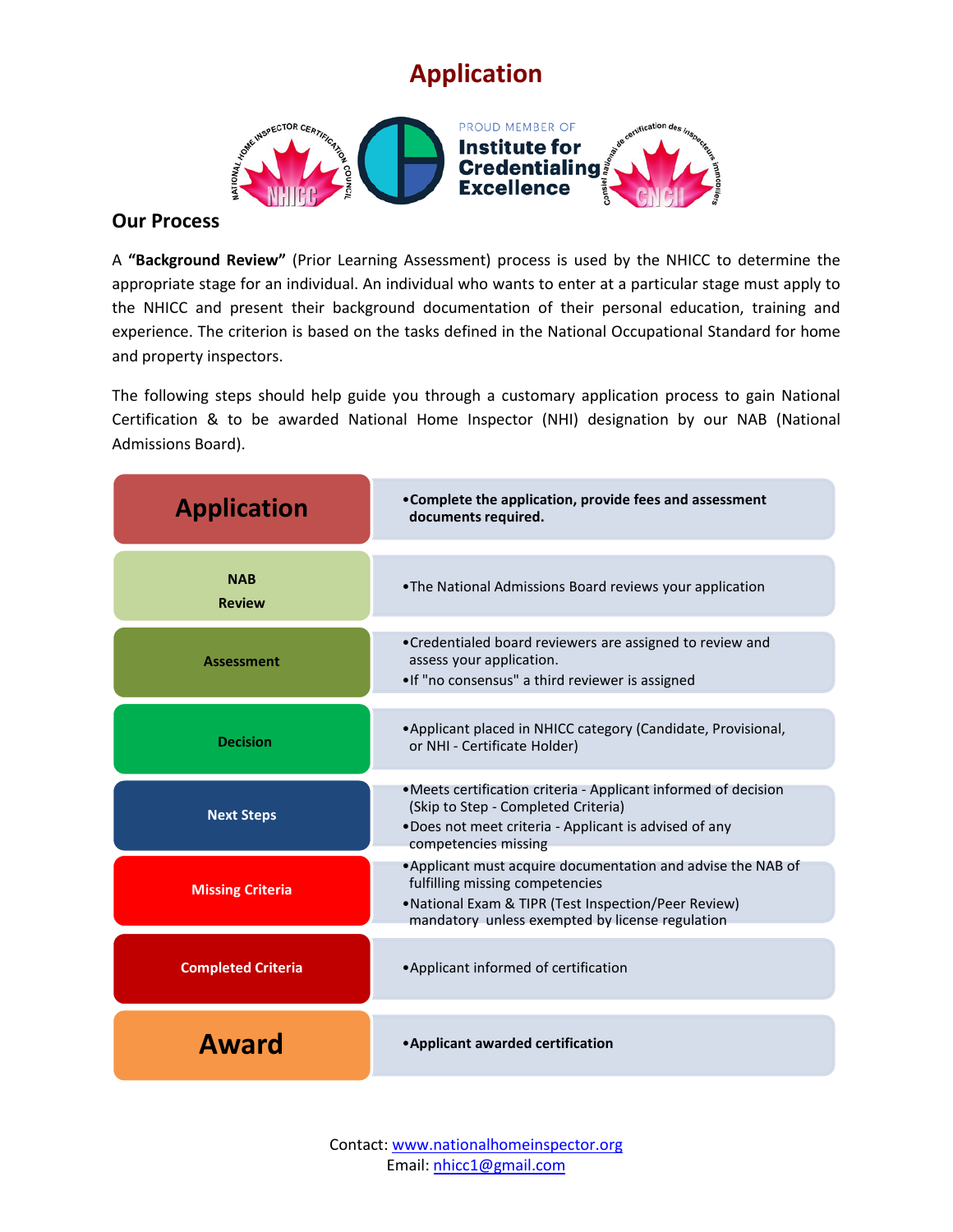## **Application**



## **Our Process**

A **"Background Review"** (Prior Learning Assessment) process is used by the NHICC to determine the appropriate stage for an individual. An individual who wants to enter at a particular stage must apply to the NHICC and present their background documentation of their personal education, training and experience. The criterion is based on the tasks defined in the National Occupational Standard for home and property inspectors.

The following steps should help guide you through a customary application process to gain National Certification & to be awarded National Home Inspector (NHI) designation by our NAB (National Admissions Board).

| <b>Application</b>          | • Complete the application, provide fees and assessment<br>documents required.                                                                                                                             |
|-----------------------------|------------------------------------------------------------------------------------------------------------------------------------------------------------------------------------------------------------|
| <b>NAB</b><br><b>Review</b> | . The National Admissions Board reviews your application                                                                                                                                                   |
| Assessment                  | •Credentialed board reviewers are assigned to review and<br>assess your application.<br>.If "no consensus" a third reviewer is assigned                                                                    |
| <b>Decision</b>             | • Applicant placed in NHICC category (Candidate, Provisional,<br>or NHI - Certificate Holder)                                                                                                              |
| <b>Next Steps</b>           | • Meets certification criteria - Applicant informed of decision<br>(Skip to Step - Completed Criteria)<br>.Does not meet criteria - Applicant is advised of any<br>competencies missing                    |
| <b>Missing Criteria</b>     | • Applicant must acquire documentation and advise the NAB of<br>fulfilling missing competencies<br>• National Exam & TIPR (Test Inspection/Peer Review)<br>mandatory unless exempted by license regulation |
| <b>Completed Criteria</b>   | • Applicant informed of certification                                                                                                                                                                      |
| Award                       | • Applicant awarded certification                                                                                                                                                                          |